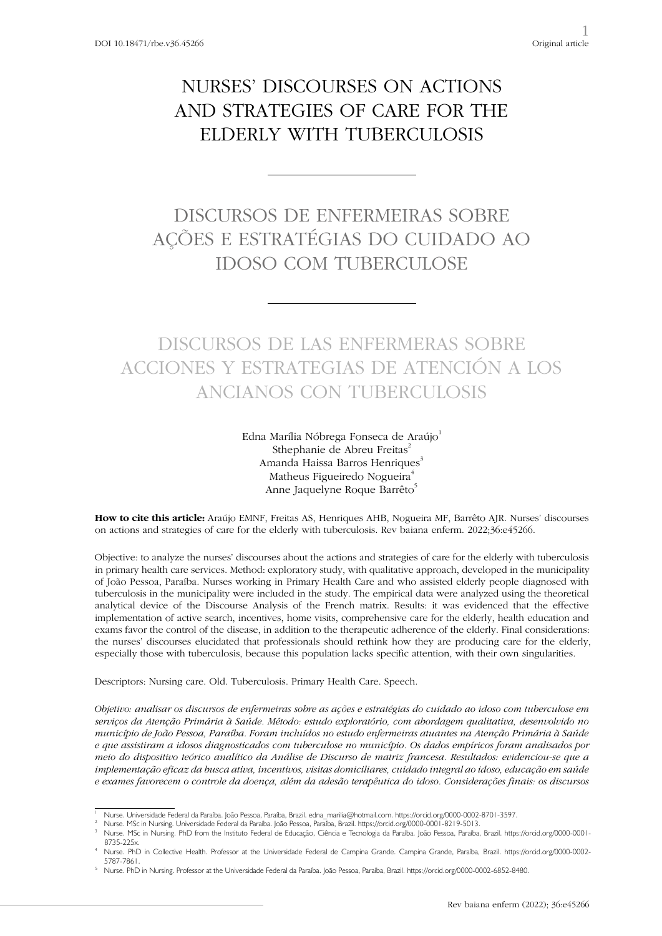# NURSES' DISCOURSES ON ACTIONS AND STRATEGIES OF CARE FOR THE ELDERLY WITH TUBERCULOSIS

## DISCURSOS DE ENFERMEIRAS SOBRE AÇÕES E ESTRATÉGIAS DO CUIDADO AO IDOSO COM TUBERCULOSE

## DISCURSOS DE LAS ENFERMERAS SOBRE ACCIONES Y ESTRATEGIAS DE ATENCIÓN A LOS ANCIANOS CON TUBERCULOSIS

Edna Marília Nóbrega Fonseca de Araújo<sup>1</sup> Sthephanie de Abreu Freitas $2$ Amanda Haissa Barros Henriques<sup>3</sup> Matheus Figueiredo Nogueira<sup>4</sup> Anne Jaquelyne Roque Barrêto<sup>5</sup>

**How to cite this article:** Araújo EMNF, Freitas AS, Henriques AHB, Nogueira MF, Barrêto AJR. Nurses' discourses on actions and strategies of care for the elderly with tuberculosis. Rev baiana enferm. 2022;36:e45266.

Objective: to analyze the nurses' discourses about the actions and strategies of care for the elderly with tuberculosis in primary health care services. Method: exploratory study, with qualitative approach, developed in the municipality of João Pessoa, Paraíba. Nurses working in Primary Health Care and who assisted elderly people diagnosed with tuberculosis in the municipality were included in the study. The empirical data were analyzed using the theoretical analytical device of the Discourse Analysis of the French matrix. Results: it was evidenced that the effective implementation of active search, incentives, home visits, comprehensive care for the elderly, health education and exams favor the control of the disease, in addition to the therapeutic adherence of the elderly. Final considerations: the nurses' discourses elucidated that professionals should rethink how they are producing care for the elderly, especially those with tuberculosis, because this population lacks specific attention, with their own singularities.

Descriptors: Nursing care. Old. Tuberculosis. Primary Health Care. Speech.

*Objetivo: analisar os discursos de enfermeiras sobre as ações e estratégias do cuidado ao idoso com tuberculose em serviços da Atenção Primária à Saúde. Método: estudo exploratório, com abordagem qualitativa, desenvolvido no município de João Pessoa, Paraíba. Foram incluídos no estudo enfermeiras atuantes na Atenção Primária à Saúde e que assistiram a idosos diagnosticados com tuberculose no município. Os dados empíricos foram analisados por meio do dispositivo teórico analítico da Análise de Discurso de matriz francesa. Resultados: evidenciou-se que a implementação eficaz da busca ativa, incentivos, visitas domiciliares, cuidado integral ao idoso, educação em saúde e exames favorecem o controle da doença, além da adesão terapêutica do idoso. Considerações finais: os discursos* 

Nurse. Universidade Federal da Paraíba. João Pessoa, Paraíba, Brazil. edna\_marilia@hotmail.com. https://orcid.org/0000-0002-8701-3597.<br>Nurse. MSc in Nursing. Universidade Federal da Paraíba. João Pessoa, Paraíba, Brazil. h

<sup>3</sup> Nurse. MSc in Nursing. PhD from the Instituto Federal de Educação, Ciência e Tecnologia da Paraíba. João Pessoa, Paraíba, Brazil. https://orcid.org/0000-0001- 8735-225x.

<sup>4</sup> Nurse. PhD in Collective Health. Professor at the Universidade Federal de Campina Grande. Campina Grande, Paraíba, Brazil. https://orcid.org/0000-0002- 5787-7861.

<sup>5</sup> Nurse. PhD in Nursing. Professor at the Universidade Federal da Paraíba. João Pessoa, Paraíba, Brazil. https://orcid.org/0000-0002-6852-8480.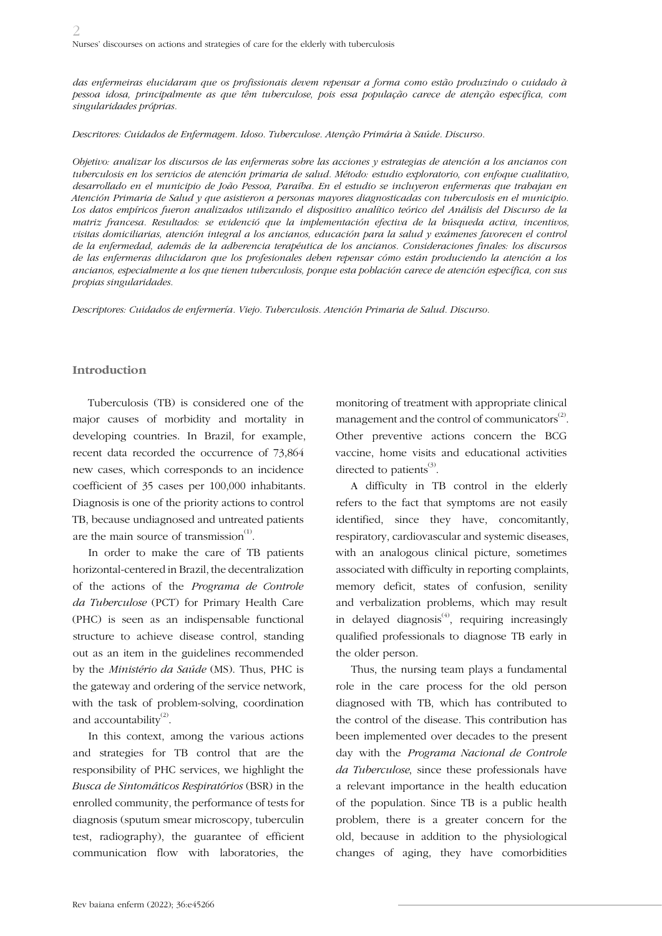*das enfermeiras elucidaram que os profissionais devem repensar a forma como estão produzindo o cuidado à pessoa idosa, principalmente as que têm tuberculose, pois essa população carece de atenção específica, com singularidades próprias.*

*Descritores: Cuidados de Enfermagem. Idoso. Tuberculose. Atenção Primária à Saúde. Discurso.*

*Objetivo: analizar los discursos de las enfermeras sobre las acciones y estrategias de atención a los ancianos con tuberculosis en los servicios de atención primaria de salud. Método: estudio exploratorio, con enfoque cualitativo, desarrollado en el municipio de João Pessoa, Paraíba. En el estudio se incluyeron enfermeras que trabajan en Atención Primaria de Salud y que asistieron a personas mayores diagnosticadas con tuberculosis en el municipio. Los datos empíricos fueron analizados utilizando el dispositivo analítico teórico del Análisis del Discurso de la matriz francesa. Resultados: se evidenció que la implementación efectiva de la búsqueda activa, incentivos, visitas domiciliarias, atención integral a los ancianos, educación para la salud y exámenes favorecen el control de la enfermedad, además de la adherencia terapéutica de los ancianos. Consideraciones finales: los discursos de las enfermeras dilucidaron que los profesionales deben repensar cómo están produciendo la atención a los ancianos, especialmente a los que tienen tuberculosis, porque esta población carece de atención específica, con sus propias singularidades.*

*Descriptores: Cuidados de enfermería. Viejo. Tuberculosis. Atención Primaria de Salud. Discurso.*

#### **Introduction**

Tuberculosis (TB) is considered one of the major causes of morbidity and mortality in developing countries. In Brazil, for example, recent data recorded the occurrence of 73,864 new cases, which corresponds to an incidence coefficient of 35 cases per 100,000 inhabitants. Diagnosis is one of the priority actions to control TB, because undiagnosed and untreated patients are the main source of transmission $<sup>(1)</sup>$ .</sup>

In order to make the care of TB patients horizontal-centered in Brazil, the decentralization of the actions of the *Programa de Controle da Tuberculose* (PCT) for Primary Health Care (PHC) is seen as an indispensable functional structure to achieve disease control, standing out as an item in the guidelines recommended by the *Ministério da Saúde* (MS). Thus, PHC is the gateway and ordering of the service network, with the task of problem-solving, coordination and accountability $^{(2)}$ .

In this context, among the various actions and strategies for TB control that are the responsibility of PHC services, we highlight the *Busca de Sintomáticos Respiratórios* (BSR) in the enrolled community, the performance of tests for diagnosis (sputum smear microscopy, tuberculin test, radiography), the guarantee of efficient communication flow with laboratories, the

monitoring of treatment with appropriate clinical management and the control of communicators $^{(2)}$ . Other preventive actions concern the BCG vaccine, home visits and educational activities directed to patients $(3)$ .

A difficulty in TB control in the elderly refers to the fact that symptoms are not easily identified, since they have, concomitantly, respiratory, cardiovascular and systemic diseases, with an analogous clinical picture, sometimes associated with difficulty in reporting complaints, memory deficit, states of confusion, senility and verbalization problems, which may result in delayed diagnosis $<sup>(4)</sup>$ , requiring increasingly</sup> qualified professionals to diagnose TB early in the older person.

Thus, the nursing team plays a fundamental role in the care process for the old person diagnosed with TB, which has contributed to the control of the disease. This contribution has been implemented over decades to the present day with the *Programa Nacional de Controle da Tuberculose*, since these professionals have a relevant importance in the health education of the population. Since TB is a public health problem, there is a greater concern for the old, because in addition to the physiological changes of aging, they have comorbidities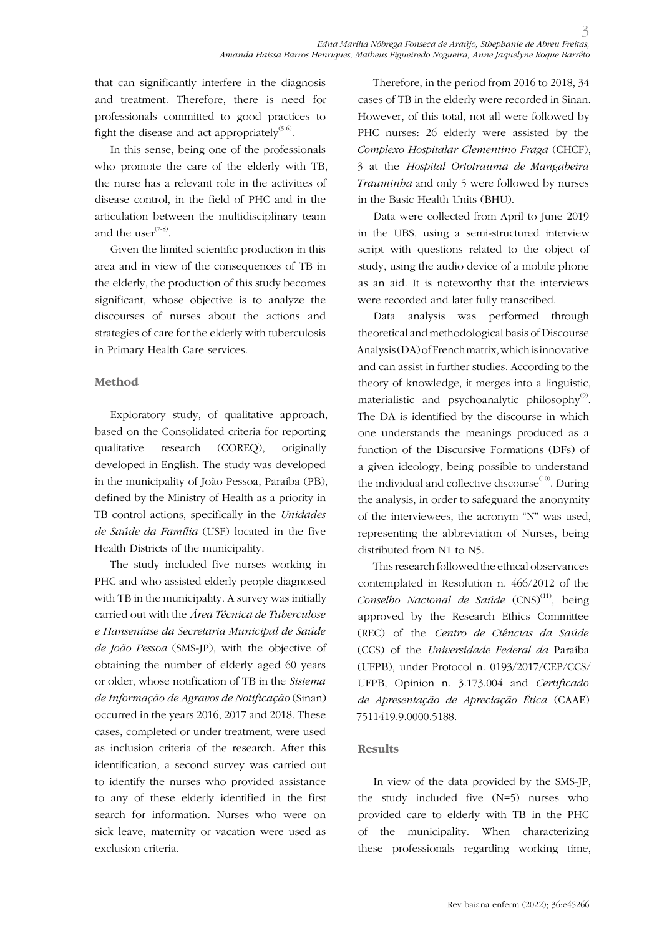that can significantly interfere in the diagnosis and treatment. Therefore, there is need for professionals committed to good practices to fight the disease and act appropriately<sup> $(5-6)$ </sup>.

In this sense, being one of the professionals who promote the care of the elderly with TB, the nurse has a relevant role in the activities of disease control, in the field of PHC and in the articulation between the multidisciplinary team and the user $(7-8)$ .

Given the limited scientific production in this area and in view of the consequences of TB in the elderly, the production of this study becomes significant, whose objective is to analyze the discourses of nurses about the actions and strategies of care for the elderly with tuberculosis in Primary Health Care services.

### **Method**

Exploratory study, of qualitative approach, based on the Consolidated criteria for reporting qualitative research (COREQ), originally developed in English. The study was developed in the municipality of João Pessoa, Paraíba (PB), defined by the Ministry of Health as a priority in TB control actions, specifically in the *Unidades de Saúde da Família* (USF) located in the five Health Districts of the municipality.

The study included five nurses working in PHC and who assisted elderly people diagnosed with TB in the municipality. A survey was initially carried out with the *Área Técnica de Tuberculose e Hanseníase da Secretaria Municipal de Saúde de João Pessoa* (SMS-JP), with the objective of obtaining the number of elderly aged 60 years or older, whose notification of TB in the *Sistema de Informação de Agravos de Notificação* (Sinan) occurred in the years 2016, 2017 and 2018. These cases, completed or under treatment, were used as inclusion criteria of the research. After this identification, a second survey was carried out to identify the nurses who provided assistance to any of these elderly identified in the first search for information. Nurses who were on sick leave, maternity or vacation were used as exclusion criteria.

Therefore, in the period from 2016 to 2018, 34 cases of TB in the elderly were recorded in Sinan. However, of this total, not all were followed by PHC nurses: 26 elderly were assisted by the *Complexo Hospitalar Clementino Fraga* (CHCF), 3 at the *Hospital Ortotrauma de Mangabeira Trauminha* and only 5 were followed by nurses in the Basic Health Units (BHU).

Data were collected from April to June 2019 in the UBS, using a semi-structured interview script with questions related to the object of study, using the audio device of a mobile phone as an aid. It is noteworthy that the interviews were recorded and later fully transcribed.

Data analysis was performed through theoretical and methodological basis of Discourse Analysis (DA) of French matrix, which is innovative and can assist in further studies. According to the theory of knowledge, it merges into a linguistic, materialistic and psychoanalytic philosophy $\overset{\text{\tiny{(9)}}}{\cdot}$ . The DA is identified by the discourse in which one understands the meanings produced as a function of the Discursive Formations (DFs) of a given ideology, being possible to understand the individual and collective discourse $(10)$ . During the analysis, in order to safeguard the anonymity of the interviewees, the acronym "N" was used, representing the abbreviation of Nurses, being distributed from N1 to N5.

This research followed the ethical observances contemplated in Resolution n. 466/2012 of the Conselho Nacional de Saúde (CNS)<sup>(11)</sup>, being approved by the Research Ethics Committee (REC) of the *Centro de Ciências da Saúde* (CCS) of the *Universidade Federal da* Paraíba (UFPB), under Protocol n. 0193/2017/CEP/CCS/ UFPB, Opinion n. 3.173.004 and *Certificado de Apresentação de Apreciação Ética* (CAAE) 7511419.9.0000.5188.

#### **Results**

In view of the data provided by the SMS-JP, the study included five (N=5) nurses who provided care to elderly with TB in the PHC of the municipality. When characterizing these professionals regarding working time,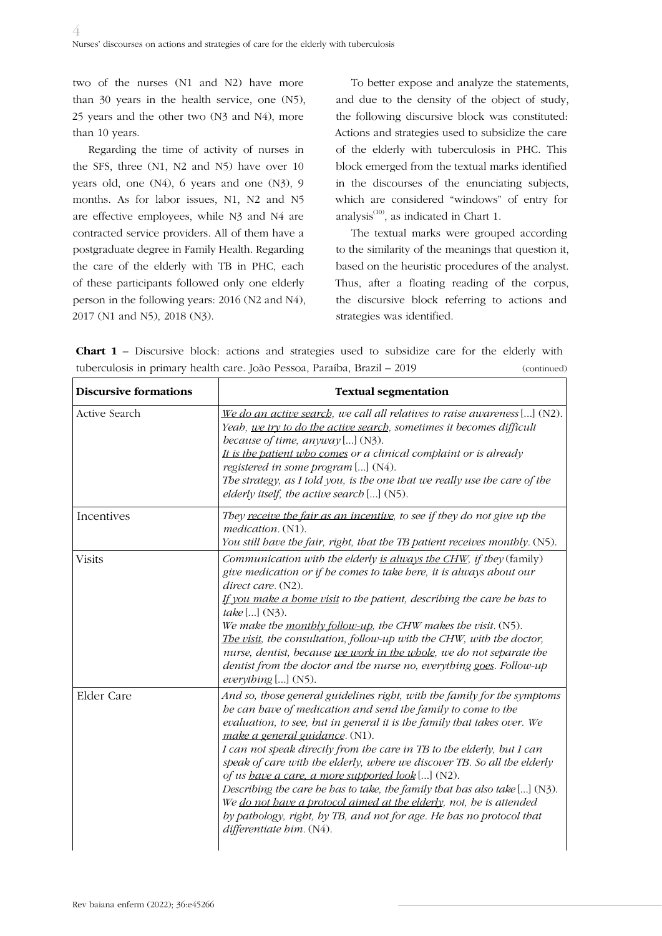two of the nurses (N1 and N2) have more than 30 years in the health service, one (N5), 25 years and the other two (N3 and N4), more than 10 years.

Regarding the time of activity of nurses in the SFS, three (N1, N2 and N5) have over 10 years old, one (N4), 6 years and one (N3), 9 months. As for labor issues, N1, N2 and N5 are effective employees, while N3 and N4 are contracted service providers. All of them have a postgraduate degree in Family Health. Regarding the care of the elderly with TB in PHC, each of these participants followed only one elderly person in the following years: 2016 (N2 and N4), 2017 (N1 and N5), 2018 (N3).

To better expose and analyze the statements, and due to the density of the object of study, the following discursive block was constituted: Actions and strategies used to subsidize the care of the elderly with tuberculosis in PHC. This block emerged from the textual marks identified in the discourses of the enunciating subjects, which are considered "windows" of entry for analysis $^{(10)}$ , as indicated in Chart 1.

The textual marks were grouped according to the similarity of the meanings that question it, based on the heuristic procedures of the analyst. Thus, after a floating reading of the corpus, the discursive block referring to actions and strategies was identified.

**Chart 1** – Discursive block: actions and strategies used to subsidize care for the elderly with tuberculosis in primary health care. João Pessoa, Paraíba, Brazil – 2019 (continued)

| <b>Discursive formations</b> | <b>Textual segmentation</b>                                                                                                                                                                                                                                                                                                                                                                                                                                                                                                                                                                                                                                                                                                 |
|------------------------------|-----------------------------------------------------------------------------------------------------------------------------------------------------------------------------------------------------------------------------------------------------------------------------------------------------------------------------------------------------------------------------------------------------------------------------------------------------------------------------------------------------------------------------------------------------------------------------------------------------------------------------------------------------------------------------------------------------------------------------|
| Active Search                | We do an active search, we call all relatives to raise awareness $[] (N2)$ .<br>Yeah, we try to do the active search, sometimes it becomes difficult<br>because of time, $anyway$ [] (N3).<br>It is the patient who comes or a clinical complaint or is already<br>registered in some program [] (N4).<br>The strategy, as I told you, is the one that we really use the care of the<br>elderly itself, the active search $[] (N5)$ .                                                                                                                                                                                                                                                                                       |
| Incentives                   | They receive the fair as an incentive, to see if they do not give up the<br>medication. (N1).<br>You still have the fair, right, that the TB patient receives monthly. (N5).                                                                                                                                                                                                                                                                                                                                                                                                                                                                                                                                                |
| <b>Visits</b>                | Communication with the elderly is always the CHW, if they (family)<br>give medication or if he comes to take here, it is always about our<br>direct care. (N2).<br>If you make a home visit to the patient, describing the care he has to<br><i>take</i> [] $(N3)$ .<br>We make the monthly follow-up, the CHW makes the visit. $(N5)$ .<br>The visit, the consultation, follow-up with the CHW, with the doctor,<br>nurse, dentist, because we work in the whole, we do not separate the<br>dentist from the doctor and the nurse no, everything goes. Follow-up<br>everything [] (N5).                                                                                                                                    |
| Elder Care                   | And so, those general guidelines right, with the family for the symptoms<br>be can bave of medication and send the family to come to the<br>evaluation, to see, but in general it is the family that takes over. We<br>make a general guidance. (N1).<br>I can not speak directly from the care in TB to the elderly, but I can<br>speak of care with the elderly, where we discover TB. So all the elderly<br>of us have a care, a more supported look [] (N2).<br>Describing the care he has to take, the family that has also take $[]$ (N3).<br>We do not have a protocol aimed at the elderly, not, he is attended<br>by pathology, right, by TB, and not for age. He has no protocol that<br>differentiate bim. (N4). |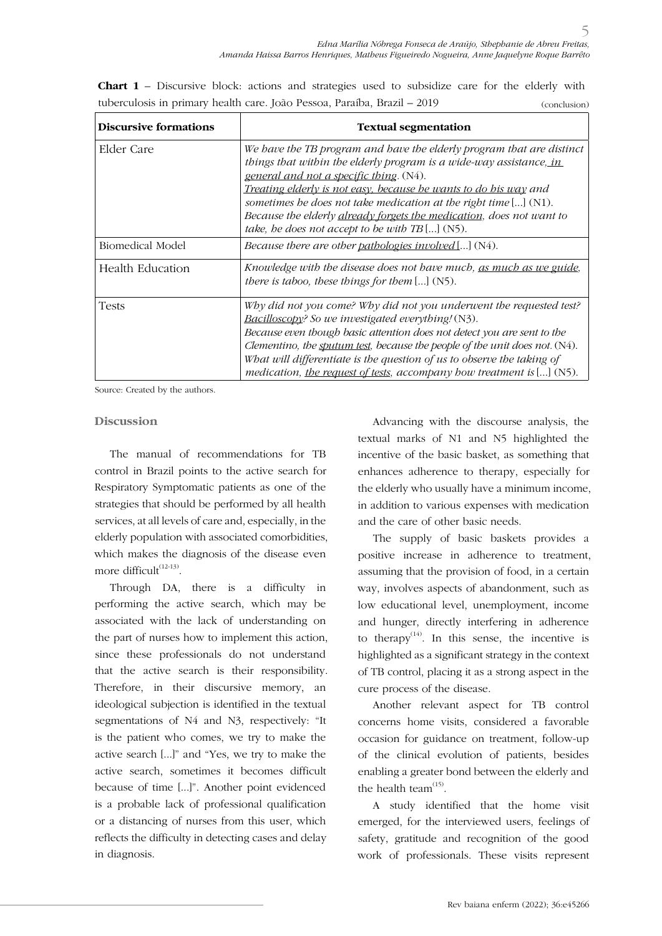**Chart 1** – Discursive block: actions and strategies used to subsidize care for the elderly with tuberculosis in primary health care. João Pessoa, Paraíba, Brazil – 2019 (conclusion)

| Discursive formations | <b>Textual segmentation</b>                                                                                                                                                                                                                                                                                                                                                                                                                 |
|-----------------------|---------------------------------------------------------------------------------------------------------------------------------------------------------------------------------------------------------------------------------------------------------------------------------------------------------------------------------------------------------------------------------------------------------------------------------------------|
| Elder Care            | We have the TB program and have the elderly program that are distinct<br>things that within the elderly program is a wide-way assistance, in<br>general and not a specific thing. (N4).<br>Treating elderly is not easy, because he wants to do his way and<br>sometimes be does not take medication at the right time $[] (N1)$ .<br>Because the elderly already forgets the medication, does not want to                                  |
|                       | take, he does not accept to be with $TB$ [] (N5).                                                                                                                                                                                                                                                                                                                                                                                           |
| Biomedical Model      | Because there are other pathologies involved[] (N4).                                                                                                                                                                                                                                                                                                                                                                                        |
| Health Education      | Knowledge with the disease does not have much, as much as we guide,<br>there is taboo, these things for them $[] (N5)$ .                                                                                                                                                                                                                                                                                                                    |
| <b>Tests</b>          | Why did not you come? Why did not you underwent the requested test?<br>Bacilloscopy? So we investigated everything! (N3).<br>Because even though basic attention does not detect you are sent to the<br>Clementino, the sputum test, because the people of the unit does not. $(N4)$ .<br>What will differentiate is the question of us to observe the taking of<br>medication, the request of tests, accompany how treatment is $[]$ (N5). |

Source: Created by the authors.

#### **Discussion**

The manual of recommendations for TB control in Brazil points to the active search for Respiratory Symptomatic patients as one of the strategies that should be performed by all health services, at all levels of care and, especially, in the elderly population with associated comorbidities, which makes the diagnosis of the disease even more difficult $^{(12-13)}$ .

Through DA, there is a difficulty in performing the active search, which may be associated with the lack of understanding on the part of nurses how to implement this action, since these professionals do not understand that the active search is their responsibility. Therefore, in their discursive memory, an ideological subjection is identified in the textual segmentations of N4 and N3, respectively: "It is the patient who comes, we try to make the active search [...]" and "Yes, we try to make the active search, sometimes it becomes difficult because of time [...]". Another point evidenced is a probable lack of professional qualification or a distancing of nurses from this user, which reflects the difficulty in detecting cases and delay in diagnosis.

Advancing with the discourse analysis, the textual marks of N1 and N5 highlighted the incentive of the basic basket, as something that enhances adherence to therapy, especially for the elderly who usually have a minimum income, in addition to various expenses with medication and the care of other basic needs.

The supply of basic baskets provides a positive increase in adherence to treatment, assuming that the provision of food, in a certain way, involves aspects of abandonment, such as low educational level, unemployment, income and hunger, directly interfering in adherence to therapy<sup> $(14)$ </sup>. In this sense, the incentive is highlighted as a significant strategy in the context of TB control, placing it as a strong aspect in the cure process of the disease.

Another relevant aspect for TB control concerns home visits, considered a favorable occasion for guidance on treatment, follow-up of the clinical evolution of patients, besides enabling a greater bond between the elderly and the health team $^{(15)}$ .

A study identified that the home visit emerged, for the interviewed users, feelings of safety, gratitude and recognition of the good work of professionals. These visits represent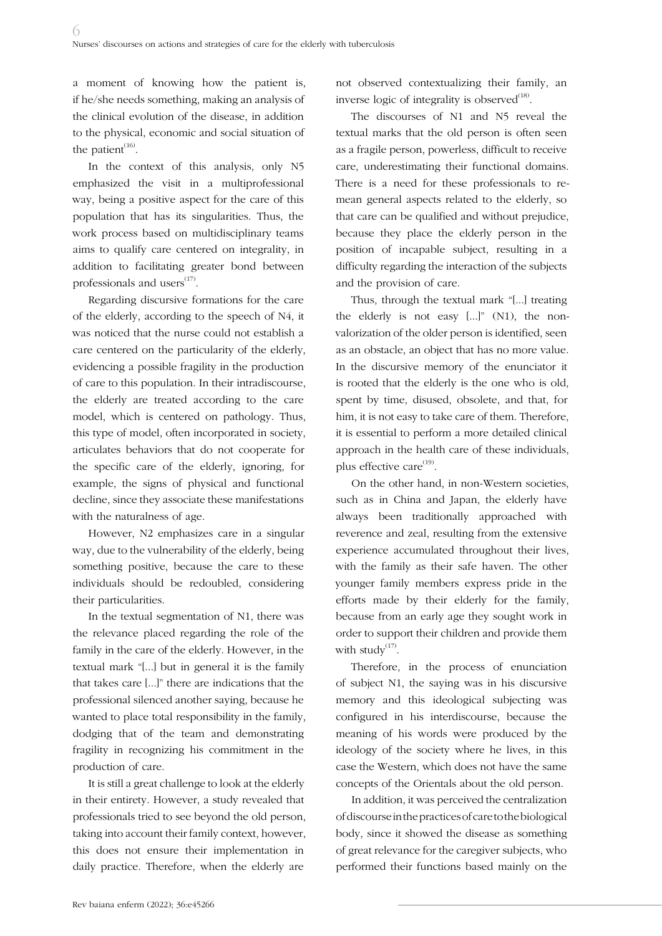a moment of knowing how the patient is, if he/she needs something, making an analysis of the clinical evolution of the disease, in addition to the physical, economic and social situation of the patient $(16)$ .

In the context of this analysis, only N5 emphasized the visit in a multiprofessional way, being a positive aspect for the care of this population that has its singularities. Thus, the work process based on multidisciplinary teams aims to qualify care centered on integrality, in addition to facilitating greater bond between professionals and users $(17)$ .

Regarding discursive formations for the care of the elderly, according to the speech of N4, it was noticed that the nurse could not establish a care centered on the particularity of the elderly, evidencing a possible fragility in the production of care to this population. In their intradiscourse, the elderly are treated according to the care model, which is centered on pathology. Thus, this type of model, often incorporated in society, articulates behaviors that do not cooperate for the specific care of the elderly, ignoring, for example, the signs of physical and functional decline, since they associate these manifestations with the naturalness of age.

However, N2 emphasizes care in a singular way, due to the vulnerability of the elderly, being something positive, because the care to these individuals should be redoubled, considering their particularities.

In the textual segmentation of N1, there was the relevance placed regarding the role of the family in the care of the elderly. However, in the textual mark "[...] but in general it is the family that takes care [...]" there are indications that the professional silenced another saying, because he wanted to place total responsibility in the family, dodging that of the team and demonstrating fragility in recognizing his commitment in the production of care.

It is still a great challenge to look at the elderly in their entirety. However, a study revealed that professionals tried to see beyond the old person, taking into account their family context, however, this does not ensure their implementation in daily practice. Therefore, when the elderly are

not observed contextualizing their family, an inverse logic of integrality is observed<sup>(18)</sup>.

The discourses of N1 and N5 reveal the textual marks that the old person is often seen as a fragile person, powerless, difficult to receive care, underestimating their functional domains. There is a need for these professionals to remean general aspects related to the elderly, so that care can be qualified and without prejudice, because they place the elderly person in the position of incapable subject, resulting in a difficulty regarding the interaction of the subjects and the provision of care.

Thus, through the textual mark "[...] treating the elderly is not easy [...]" (N1), the nonvalorization of the older person is identified, seen as an obstacle, an object that has no more value. In the discursive memory of the enunciator it is rooted that the elderly is the one who is old, spent by time, disused, obsolete, and that, for him, it is not easy to take care of them. Therefore, it is essential to perform a more detailed clinical approach in the health care of these individuals, plus effective care<sup>(19)</sup>.

On the other hand, in non-Western societies, such as in China and Japan, the elderly have always been traditionally approached with reverence and zeal, resulting from the extensive experience accumulated throughout their lives, with the family as their safe haven. The other younger family members express pride in the efforts made by their elderly for the family, because from an early age they sought work in order to support their children and provide them with study $^{(17)}$ .

Therefore, in the process of enunciation of subject N1, the saying was in his discursive memory and this ideological subjecting was configured in his interdiscourse, because the meaning of his words were produced by the ideology of the society where he lives, in this case the Western, which does not have the same concepts of the Orientals about the old person.

In addition, it was perceived the centralization of discourse in the practices of care to the biological body, since it showed the disease as something of great relevance for the caregiver subjects, who performed their functions based mainly on the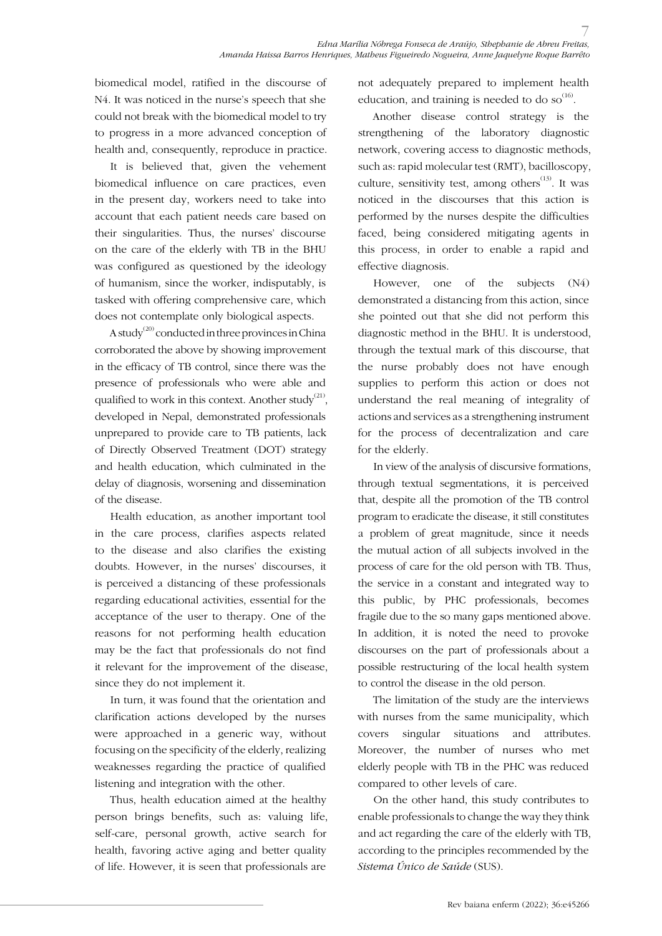biomedical model, ratified in the discourse of N4. It was noticed in the nurse's speech that she could not break with the biomedical model to try to progress in a more advanced conception of health and, consequently, reproduce in practice.

It is believed that, given the vehement biomedical influence on care practices, even in the present day, workers need to take into account that each patient needs care based on their singularities. Thus, the nurses' discourse on the care of the elderly with TB in the BHU was configured as questioned by the ideology of humanism, since the worker, indisputably, is tasked with offering comprehensive care, which does not contemplate only biological aspects.

A study<sup>(20)</sup> conducted in three provinces in China corroborated the above by showing improvement in the efficacy of TB control, since there was the presence of professionals who were able and qualified to work in this context. Another study<sup>(21)</sup>, developed in Nepal, demonstrated professionals unprepared to provide care to TB patients, lack of Directly Observed Treatment (DOT) strategy and health education, which culminated in the delay of diagnosis, worsening and dissemination of the disease.

Health education, as another important tool in the care process, clarifies aspects related to the disease and also clarifies the existing doubts. However, in the nurses' discourses, it is perceived a distancing of these professionals regarding educational activities, essential for the acceptance of the user to therapy. One of the reasons for not performing health education may be the fact that professionals do not find it relevant for the improvement of the disease, since they do not implement it.

In turn, it was found that the orientation and clarification actions developed by the nurses were approached in a generic way, without focusing on the specificity of the elderly, realizing weaknesses regarding the practice of qualified listening and integration with the other.

Thus, health education aimed at the healthy person brings benefits, such as: valuing life, self-care, personal growth, active search for health, favoring active aging and better quality of life. However, it is seen that professionals are

not adequately prepared to implement health education, and training is needed to do so $^{(16)}$ .

Another disease control strategy is the strengthening of the laboratory diagnostic network, covering access to diagnostic methods, such as: rapid molecular test (RMT), bacilloscopy, culture, sensitivity test, among others<sup> $(13)$ </sup>. It was noticed in the discourses that this action is performed by the nurses despite the difficulties faced, being considered mitigating agents in this process, in order to enable a rapid and effective diagnosis.

However, one of the subjects (N4) demonstrated a distancing from this action, since she pointed out that she did not perform this diagnostic method in the BHU. It is understood, through the textual mark of this discourse, that the nurse probably does not have enough supplies to perform this action or does not understand the real meaning of integrality of actions and services as a strengthening instrument for the process of decentralization and care for the elderly.

In view of the analysis of discursive formations, through textual segmentations, it is perceived that, despite all the promotion of the TB control program to eradicate the disease, it still constitutes a problem of great magnitude, since it needs the mutual action of all subjects involved in the process of care for the old person with TB. Thus, the service in a constant and integrated way to this public, by PHC professionals, becomes fragile due to the so many gaps mentioned above. In addition, it is noted the need to provoke discourses on the part of professionals about a possible restructuring of the local health system to control the disease in the old person.

The limitation of the study are the interviews with nurses from the same municipality, which covers singular situations and attributes. Moreover, the number of nurses who met elderly people with TB in the PHC was reduced compared to other levels of care.

On the other hand, this study contributes to enable professionals to change the way they think and act regarding the care of the elderly with TB, according to the principles recommended by the *Sistema Único de Saúde* (SUS).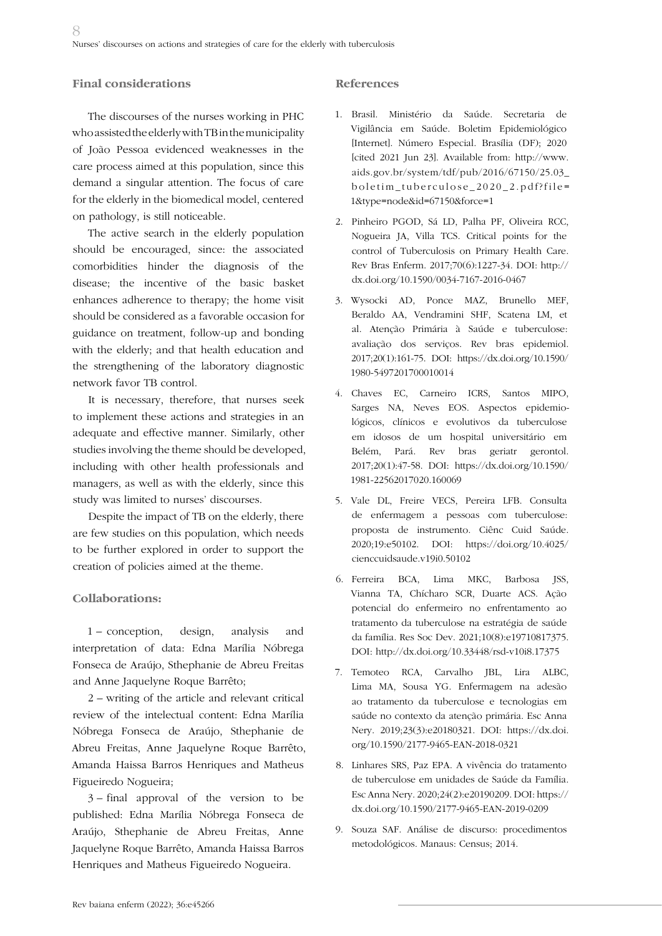### **Final considerations**

The discourses of the nurses working in PHC who assisted the elderly with TB in the municipality of João Pessoa evidenced weaknesses in the care process aimed at this population, since this demand a singular attention. The focus of care for the elderly in the biomedical model, centered on pathology, is still noticeable.

The active search in the elderly population should be encouraged, since: the associated comorbidities hinder the diagnosis of the disease; the incentive of the basic basket enhances adherence to therapy; the home visit should be considered as a favorable occasion for guidance on treatment, follow-up and bonding with the elderly; and that health education and the strengthening of the laboratory diagnostic network favor TB control.

It is necessary, therefore, that nurses seek to implement these actions and strategies in an adequate and effective manner. Similarly, other studies involving the theme should be developed, including with other health professionals and managers, as well as with the elderly, since this study was limited to nurses' discourses.

Despite the impact of TB on the elderly, there are few studies on this population, which needs to be further explored in order to support the creation of policies aimed at the theme.

### **Collaborations:**

1 – conception, design, analysis and interpretation of data: Edna Marília Nóbrega Fonseca de Araújo, Sthephanie de Abreu Freitas and Anne Jaquelyne Roque Barrêto;

2 – writing of the article and relevant critical review of the intelectual content: Edna Marília Nóbrega Fonseca de Araújo, Sthephanie de Abreu Freitas, Anne Jaquelyne Roque Barrêto, Amanda Haissa Barros Henriques and Matheus Figueiredo Nogueira;

3 – final approval of the version to be published: Edna Marília Nóbrega Fonseca de Araújo, Sthephanie de Abreu Freitas, Anne Jaquelyne Roque Barrêto, Amanda Haissa Barros Henriques and Matheus Figueiredo Nogueira.

#### **References**

- 1. Brasil. Ministério da Saúde. Secretaria de Vigilância em Saúde. Boletim Epidemiológico [Internet]. Número Especial. Brasília (DF); 2020 [cited 2021 Jun 23]. Available from: http://www. aids.gov.br/system/tdf/pub/2016/67150/25.03\_ boletim\_tuberculose\_2020\_2.pdf?file= 1&type=node&id=67150&force=1
- 2. Pinheiro PGOD, Sá LD, Palha PF, Oliveira RCC, Nogueira JA, Villa TCS. Critical points for the control of Tuberculosis on Primary Health Care. Rev Bras Enferm. 2017;70(6):1227-34. DOI: http:// dx.doi.org/10.1590/0034-7167-2016-0467
- 3. Wysocki AD, Ponce MAZ, Brunello MEF, Beraldo AA, Vendramini SHF, Scatena LM, et al. Atenção Primária à Saúde e tuberculose: avaliação dos serviços. Rev bras epidemiol. 2017;20(1):161-75. DOI: https://dx.doi.org/10.1590/ 1980-5497201700010014
- 4. Chaves EC, Carneiro ICRS, Santos MIPO, Sarges NA, Neves EOS. Aspectos epidemiológicos, clínicos e evolutivos da tuberculose em idosos de um hospital universitário em Belém, Pará. Rev bras geriatr gerontol. 2017;20(1):47-58. DOI: https://dx.doi.org/10.1590/ 1981-22562017020.160069
- 5. Vale DL, Freire VECS, Pereira LFB. Consulta de enfermagem a pessoas com tuberculose: proposta de instrumento. Ciênc Cuid Saúde. 2020;19:e50102. DOI: https://doi.org/10.4025/ cienccuidsaude.v19i0.50102
- 6. Ferreira BCA, Lima MKC, Barbosa JSS, Vianna TA, Chícharo SCR, Duarte ACS. Ação potencial do enfermeiro no enfrentamento ao tratamento da tuberculose na estratégia de saúde da família. Res Soc Dev. 2021;10(8):e19710817375. DOI: http://dx.doi.org/10.33448/rsd-v10i8.17375
- 7. Temoteo RCA, Carvalho JBL, Lira ALBC, Lima MA, Sousa YG. Enfermagem na adesão ao tratamento da tuberculose e tecnologias em saúde no contexto da atenção primária. Esc Anna Nery. 2019;23(3):e20180321. DOI: https://dx.doi. org/10.1590/2177-9465-EAN-2018-0321
- 8. Linhares SRS, Paz EPA. A vivência do tratamento de tuberculose em unidades de Saúde da Família. Esc Anna Nery. 2020;24(2):e20190209. DOI: https:// dx.doi.org/10.1590/2177-9465-EAN-2019-0209
- 9. Souza SAF. Análise de discurso: procedimentos metodológicos. Manaus: Census; 2014.